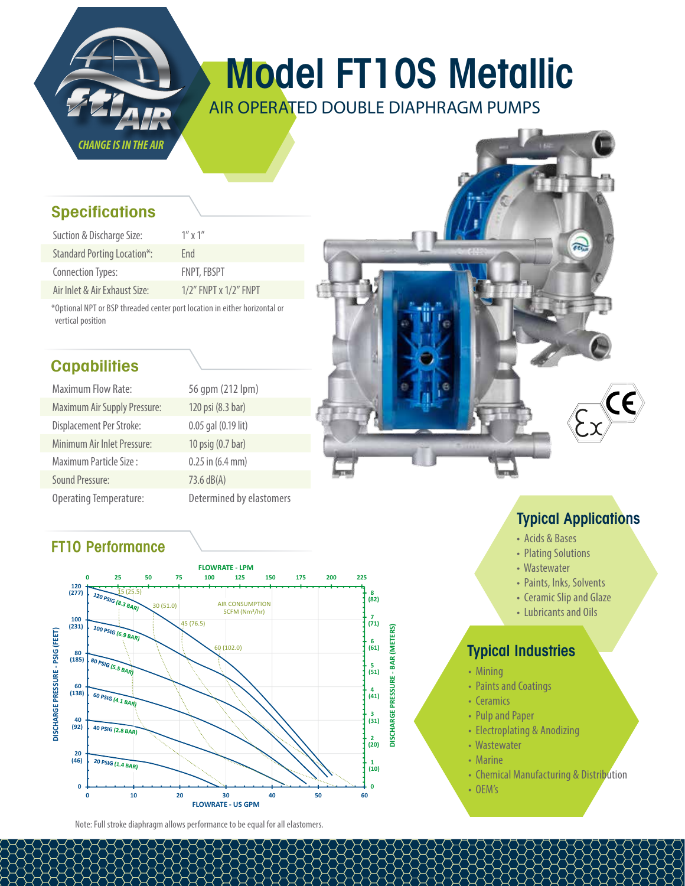

# Model FT10S Metallic

AIR OPERATED DOUBLE DIAPHRAGM PUMPS

### **Specifications**

| Suction & Discharge Size:          | $1''$ x $1''$               |
|------------------------------------|-----------------------------|
| <b>Standard Porting Location*:</b> | Fnd                         |
| <b>Connection Types:</b>           | <b>FNPT, FBSPT</b>          |
| Air Inlet & Air Exhaust Size:      | $1/2$ " FNPT x $1/2$ " FNPT |

\*Optional NPT or BSP threaded center port location in either horizontal or vertical position

## **Capabilities**

| <b>Maximum Flow Rate:</b>           | 56 qpm (212 lpm)         |
|-------------------------------------|--------------------------|
| <b>Maximum Air Supply Pressure:</b> | 120 psi (8.3 bar)        |
| Displacement Per Stroke:            | 0.05 gal (0.19 lit)      |
| Minimum Air Inlet Pressure:         | 10 psig (0.7 bar)        |
| Maximum Particle Size:              | $0.25$ in $(6.4$ mm)     |
| <b>Sound Pressure:</b>              | 73.6 dB(A)               |
| <b>Operating Temperature:</b>       | Determined by elastomers |

### FT10 Performance



Note: Full stroke diaphragm allows performance to be equal for all elastomers.

# Typical Applications

ā.

- Acids & Bases
- Plating Solutions
- Wastewater
- Paints, Inks, Solvents
- Ceramic Slip and Glaze
- Lubricants and Oils

### Typical Industries

- Mining
- Paints and Coatings
- Ceramics
- Pulp and Paper
- Electroplating & Anodizing
- Wastewater
- Marine
- Chemical Manufacturing & Distribution
- OEM's